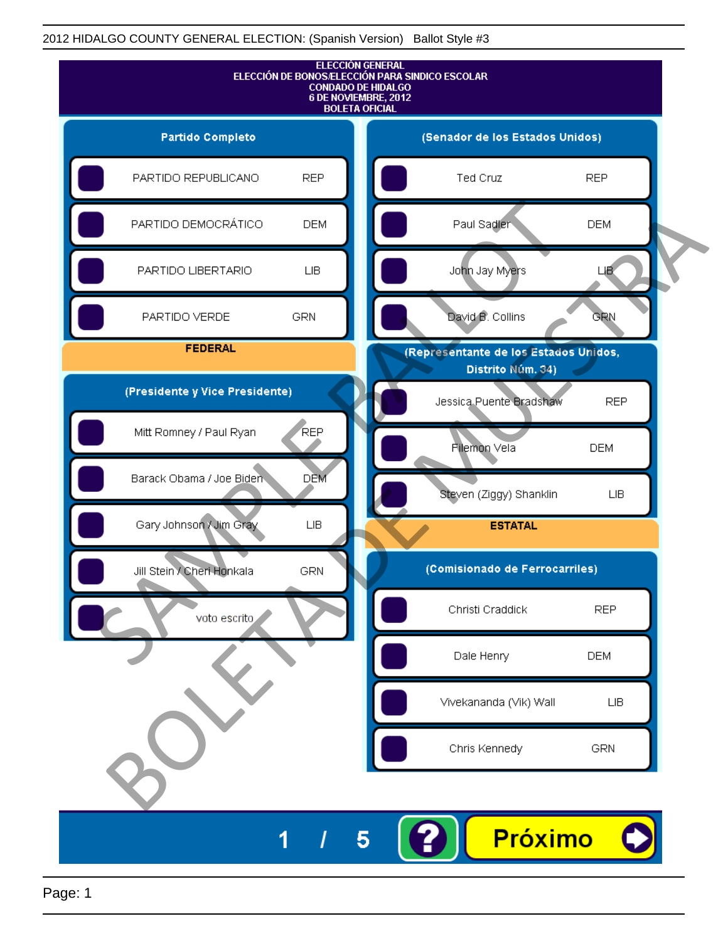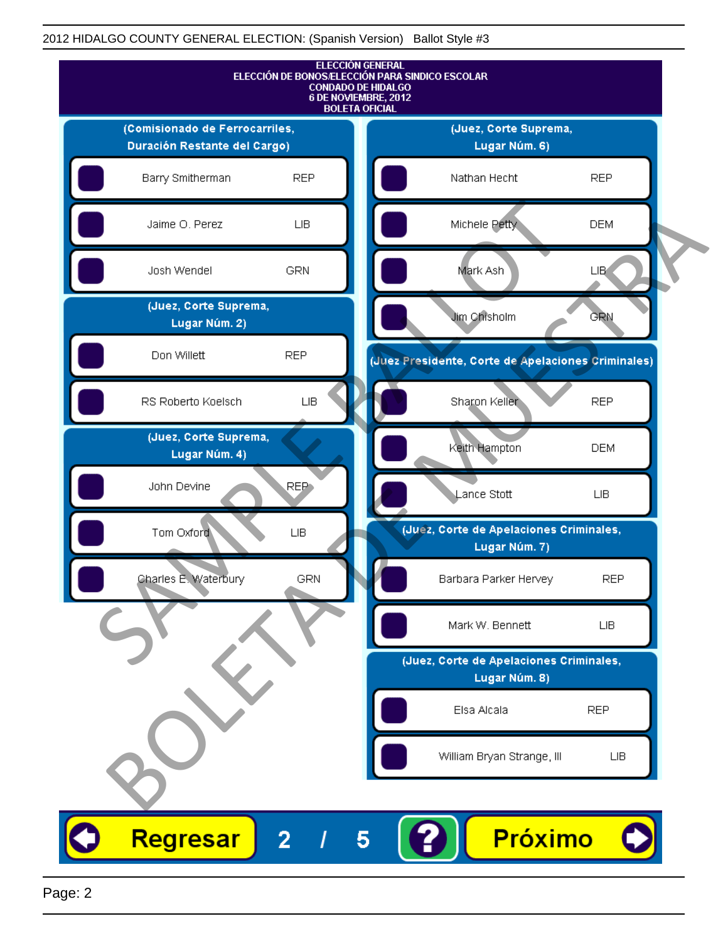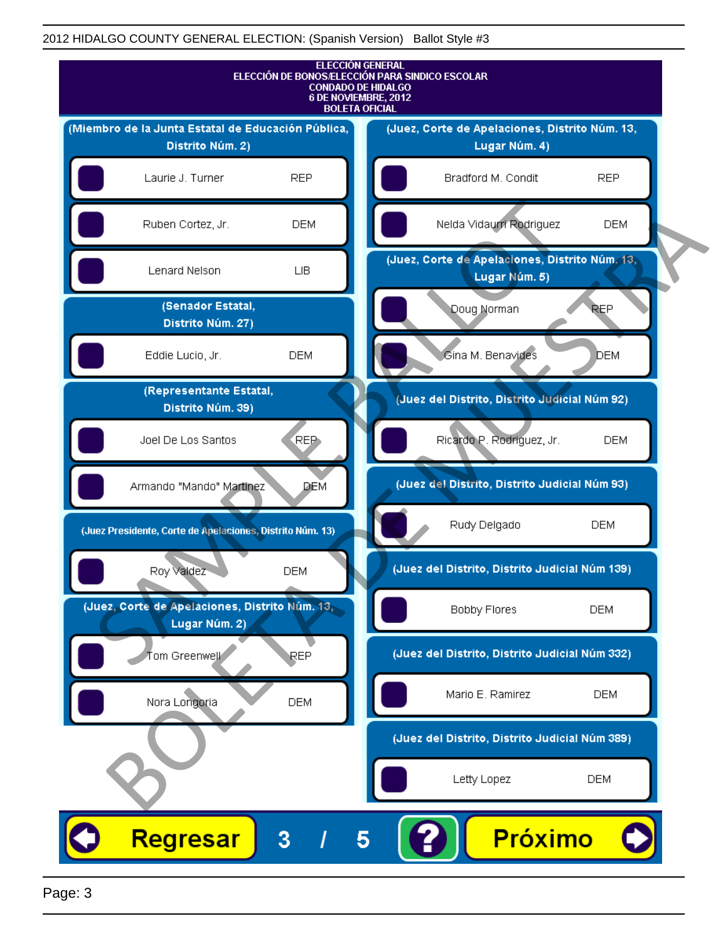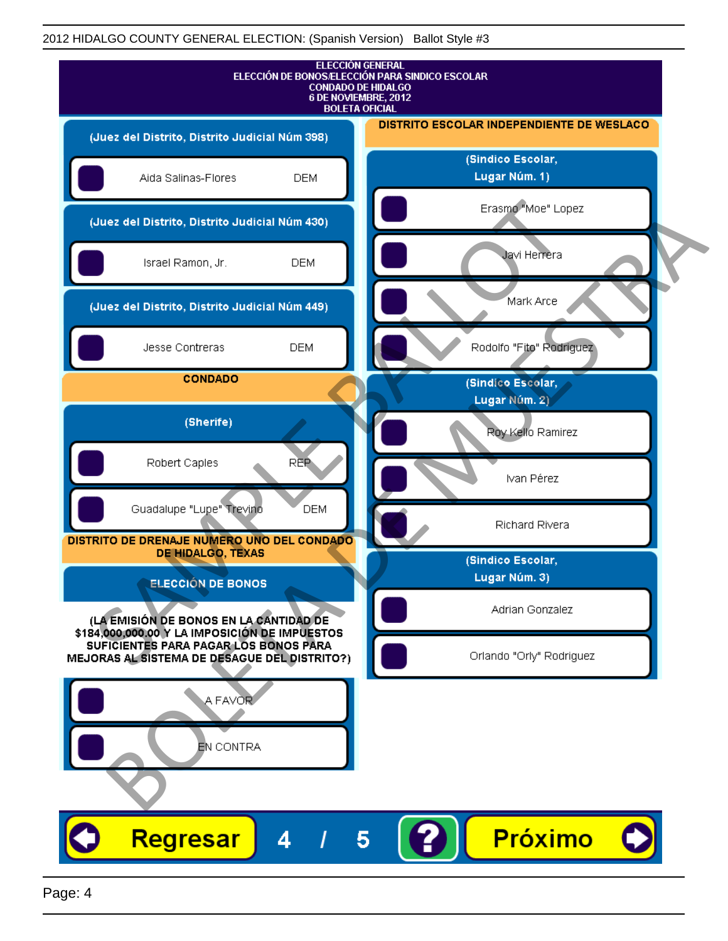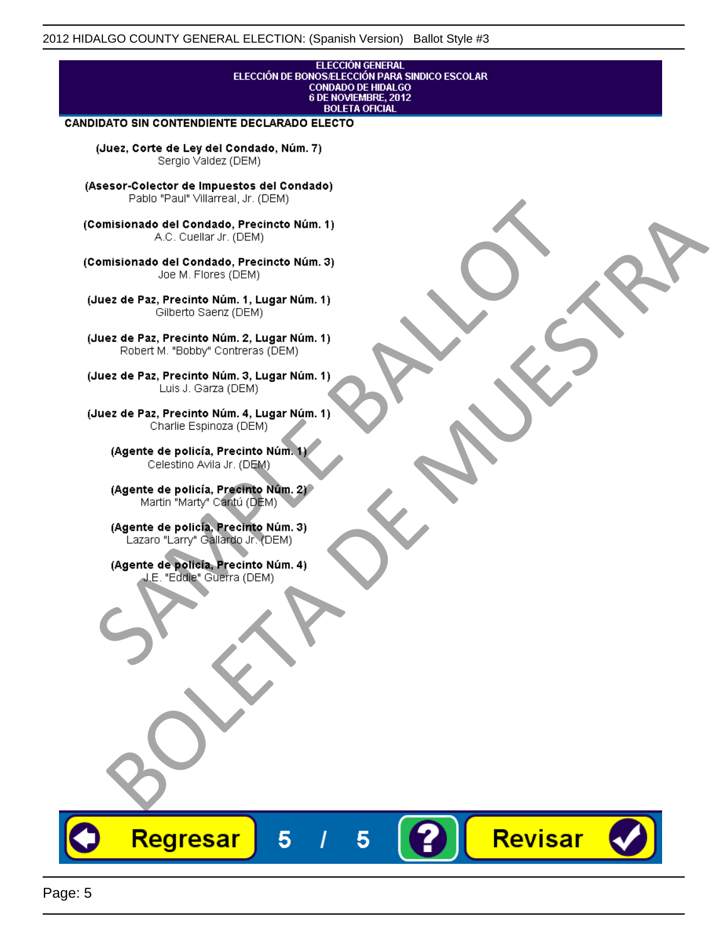## **ELECCIÓN GENERAL** ELECCIÓN DE BONOS/ELECCIÓN PARA SINDICO ESCOLAR<br>CONDADO DE HIDALGO<br>6 DE NOVIEMBRE, 2012 **BOLETA OFICIAL**

Revisar

### CANDIDATO SIN CONTENDIENTE DECLARADO ELECTO

(Juez, Corte de Ley del Condado, Núm. 7) Sergio Valdez (DEM)

(Asesor-Colector de Impuestos del Condado)

Fallo Fall Willdrea, J.I. (DEM)<br>
Consistionado el Condado, Precincto Núm. 1)<br>
A.C. Cuellar Jr. (DEM)<br>
Ullez de Paz, Precinto Núm. 1)<br>
Juez de Paz, Precinto Núm. 1, Lugar Núm. 1)<br>
Gilberto Sentr (DEM)<br>
Robert M. "Bobby" Con misionado del Condiado, Precincto Núm. 1)<br>
Andro del Condiado, Precincto Núm. 3)<br>
ez de Paz, Precinto Núm. 21<br>
algo M. Picer Lo Saerz, (CIEM)<br>
algo M. Picer Lo Saerz, (CIEM)<br>
algo M. Picer Lo Saerz, (CIEM)<br>
ez de Paz, Prec

Regresar

5

5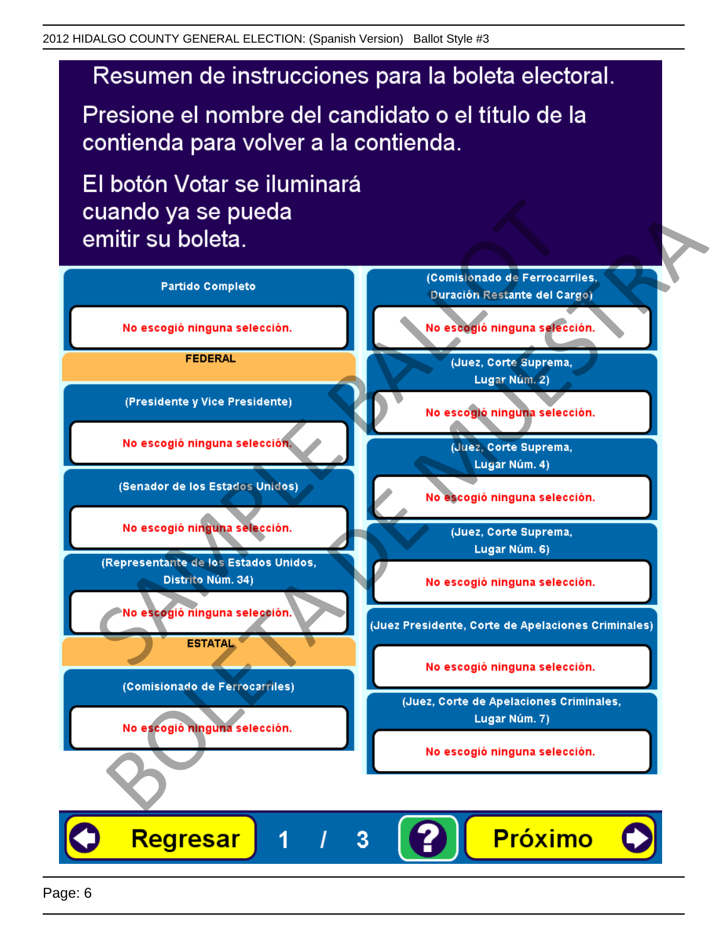# Resumen de instrucciones para la boleta electoral.

Presione el nombre del candidato o el título de la contienda para volver a la contienda.

El botón Votar se iluminará

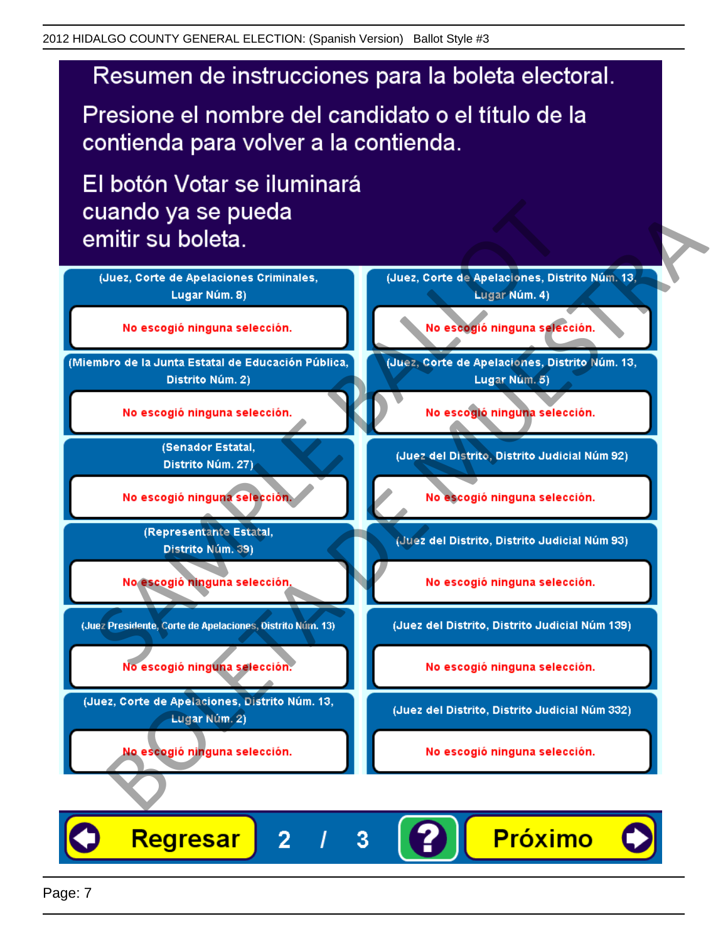# Resumen de instrucciones para la boleta electoral.

Presione el nombre del candidato o el título de la contienda para volver a la contienda.

El botón Votar se iluminará